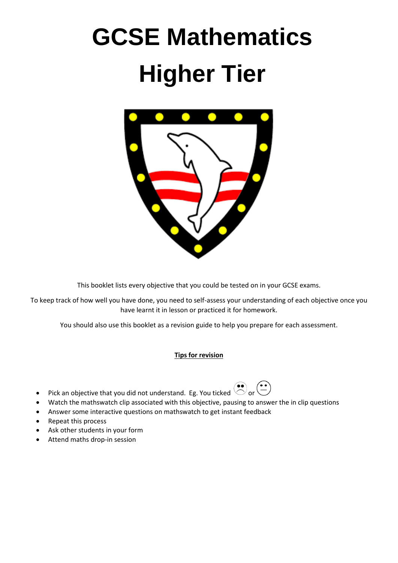# **GCSE Mathematics Higher Tier**



This booklet lists every objective that you could be tested on in your GCSE exams.

To keep track of how well you have done, you need to self-assess your understanding of each objective once you have learnt it in lesson or practiced it for homework.

You should also use this booklet as a revision guide to help you prepare for each assessment.

## **Tips for revision**

- Pick an objective that you did not understand. Eg. You ticked  $\bigodot^{\bullet\bullet}$  or  $\bigodot^{\bullet\bullet}$
- Watch the mathswatch clip associated with this objective, pausing to answer the in clip questions
- Answer some interactive questions on mathswatch to get instant feedback
- Repeat this process
- Ask other students in your form
- Attend maths drop-in session

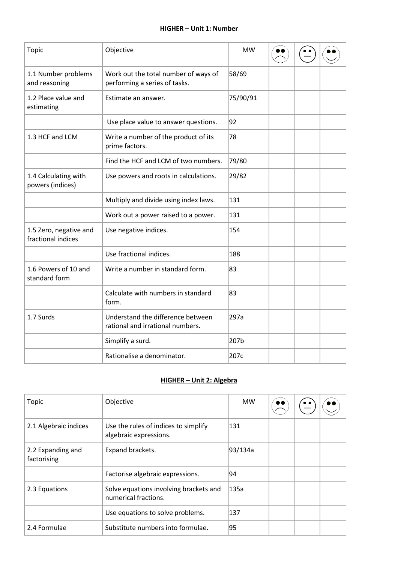### **HIGHER – Unit 1: Number**

| Topic                                        | Objective                                                             | <b>MW</b> |  |  |
|----------------------------------------------|-----------------------------------------------------------------------|-----------|--|--|
| 1.1 Number problems<br>and reasoning         | Work out the total number of ways of<br>performing a series of tasks. | 58/69     |  |  |
| 1.2 Place value and<br>estimating            | Estimate an answer.                                                   | 75/90/91  |  |  |
|                                              | Use place value to answer questions.                                  | 92        |  |  |
| 1.3 HCF and LCM                              | Write a number of the product of its<br>prime factors.                | 78        |  |  |
|                                              | Find the HCF and LCM of two numbers.                                  | 79/80     |  |  |
| 1.4 Calculating with<br>powers (indices)     | Use powers and roots in calculations.                                 | 29/82     |  |  |
|                                              | Multiply and divide using index laws.                                 | 131       |  |  |
|                                              | Work out a power raised to a power.                                   | 131       |  |  |
| 1.5 Zero, negative and<br>fractional indices | Use negative indices.                                                 | 154       |  |  |
|                                              | Use fractional indices.                                               | 188       |  |  |
| 1.6 Powers of 10 and<br>standard form        | Write a number in standard form.                                      | 83        |  |  |
|                                              | Calculate with numbers in standard<br>form.                           | 83        |  |  |
| 1.7 Surds                                    | Understand the difference between<br>rational and irrational numbers. | 297a      |  |  |
|                                              | Simplify a surd.                                                      | 207b      |  |  |
|                                              | Rationalise a denominator.                                            | 207c      |  |  |

## **HIGHER – Unit 2: Algebra**

| Topic                            | Objective                                                      | <b>MW</b> |  |  |
|----------------------------------|----------------------------------------------------------------|-----------|--|--|
| 2.1 Algebraic indices            | Use the rules of indices to simplify<br>algebraic expressions. | 131       |  |  |
| 2.2 Expanding and<br>factorising | Expand brackets.                                               | 93/134a   |  |  |
|                                  | Factorise algebraic expressions.                               | 94        |  |  |
| 2.3 Equations                    | Solve equations involving brackets and<br>numerical fractions. | 135a      |  |  |
|                                  | Use equations to solve problems.                               | 137       |  |  |
| 2.4 Formulae                     | Substitute numbers into formulae.                              | 95        |  |  |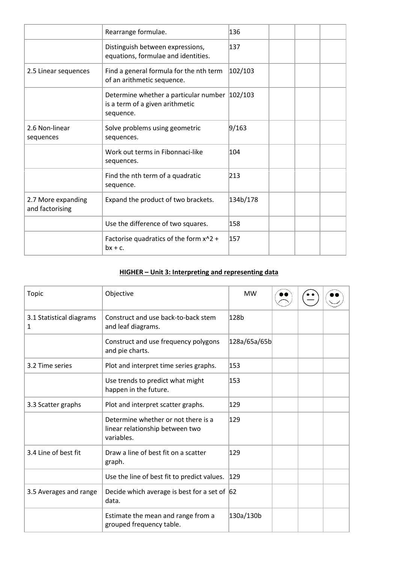|                                       | Rearrange formulae.                                                                           | 136      |  |  |
|---------------------------------------|-----------------------------------------------------------------------------------------------|----------|--|--|
|                                       | Distinguish between expressions,<br>equations, formulae and identities.                       | 137      |  |  |
| 2.5 Linear sequences                  | Find a general formula for the nth term<br>of an arithmetic sequence.                         | 102/103  |  |  |
|                                       | Determine whether a particular number 102/103<br>is a term of a given arithmetic<br>sequence. |          |  |  |
| 2.6 Non-linear<br>sequences           | Solve problems using geometric<br>sequences.                                                  | 9/163    |  |  |
|                                       | Work out terms in Fibonnaci-like<br>sequences.                                                | 104      |  |  |
|                                       | Find the nth term of a quadratic<br>sequence.                                                 | 213      |  |  |
| 2.7 More expanding<br>and factorising | Expand the product of two brackets.                                                           | 134b/178 |  |  |
|                                       | Use the difference of two squares.                                                            | 158      |  |  |
|                                       | Factorise quadratics of the form x^2 +<br>$bx + c$ .                                          | 157      |  |  |

# **HIGHER – Unit 3: Interpreting and representing data**

| <b>Topic</b>                  | Objective                                                                            | <b>MW</b>        |  |  |
|-------------------------------|--------------------------------------------------------------------------------------|------------------|--|--|
| 3.1 Statistical diagrams<br>1 | Construct and use back-to-back stem<br>and leaf diagrams.                            | 128 <sub>b</sub> |  |  |
|                               | Construct and use frequency polygons<br>and pie charts.                              | 128a/65a/65b     |  |  |
| 3.2 Time series               | Plot and interpret time series graphs.                                               | 153              |  |  |
|                               | Use trends to predict what might<br>happen in the future.                            | $ 153\rangle$    |  |  |
| 3.3 Scatter graphs            | Plot and interpret scatter graphs.                                                   | 129              |  |  |
|                               | Determine whether or not there is a<br>linear relationship between two<br>variables. | 129              |  |  |
| 3.4 Line of best fit          | Draw a line of best fit on a scatter<br>graph.                                       | 129              |  |  |
|                               | Use the line of best fit to predict values.                                          | 129              |  |  |
| 3.5 Averages and range        | Decide which average is best for a set of $ 62 $<br>data.                            |                  |  |  |
|                               | Estimate the mean and range from a<br>grouped frequency table.                       | 130a/130b        |  |  |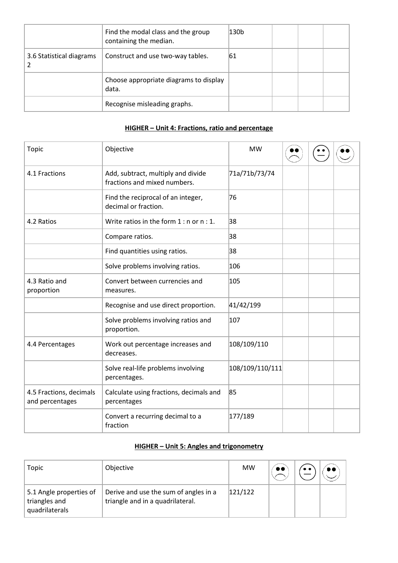|                          | Find the modal class and the group<br>containing the median. | 130b |  |  |
|--------------------------|--------------------------------------------------------------|------|--|--|
| 3.6 Statistical diagrams | Construct and use two-way tables.                            | 61   |  |  |
|                          | Choose appropriate diagrams to display<br>data.              |      |  |  |
|                          | Recognise misleading graphs.                                 |      |  |  |

# **HIGHER – Unit 4: Fractions, ratio and percentage**

| <b>Topic</b>                               | Objective                                                          | <b>MW</b>       |  |  |
|--------------------------------------------|--------------------------------------------------------------------|-----------------|--|--|
| 4.1 Fractions                              | Add, subtract, multiply and divide<br>fractions and mixed numbers. | 71a/71b/73/74   |  |  |
|                                            | Find the reciprocal of an integer,<br>decimal or fraction.         | 76              |  |  |
| 4.2 Ratios                                 | Write ratios in the form $1:$ n or $n:1$ .                         | 38              |  |  |
|                                            | Compare ratios.                                                    | 38              |  |  |
|                                            | Find quantities using ratios.                                      | 38              |  |  |
|                                            | Solve problems involving ratios.                                   | 106             |  |  |
| 4.3 Ratio and<br>proportion                | Convert between currencies and<br>measures.                        | 105             |  |  |
|                                            | Recognise and use direct proportion.                               | 41/42/199       |  |  |
|                                            | Solve problems involving ratios and<br>proportion.                 | 107             |  |  |
| 4.4 Percentages                            | Work out percentage increases and<br>decreases.                    | 108/109/110     |  |  |
|                                            | Solve real-life problems involving<br>percentages.                 | 108/109/110/111 |  |  |
| 4.5 Fractions, decimals<br>and percentages | Calculate using fractions, decimals and<br>percentages             | 85              |  |  |
|                                            | Convert a recurring decimal to a<br>fraction                       | 177/189         |  |  |

# **HIGHER – Unit 5: Angles and trigonometry**

| Topic                                                      | Objective                                                                 | MW      |  |  |
|------------------------------------------------------------|---------------------------------------------------------------------------|---------|--|--|
| 5.1 Angle properties of<br>triangles and<br>quadrilaterals | Derive and use the sum of angles in a<br>triangle and in a quadrilateral. | 121/122 |  |  |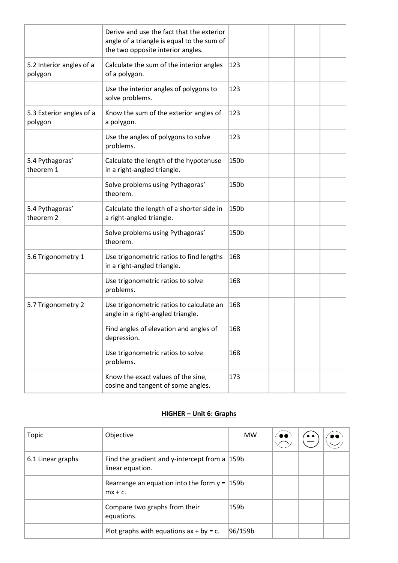|                                         | Derive and use the fact that the exterior<br>angle of a triangle is equal to the sum of<br>the two opposite interior angles. |      |  |  |
|-----------------------------------------|------------------------------------------------------------------------------------------------------------------------------|------|--|--|
| 5.2 Interior angles of a<br>polygon     | Calculate the sum of the interior angles<br>of a polygon.                                                                    | 123  |  |  |
|                                         | Use the interior angles of polygons to<br>solve problems.                                                                    | 123  |  |  |
| 5.3 Exterior angles of a<br>polygon     | Know the sum of the exterior angles of<br>a polygon.                                                                         | 123  |  |  |
|                                         | Use the angles of polygons to solve<br>problems.                                                                             | 123  |  |  |
| 5.4 Pythagoras'<br>theorem 1            | Calculate the length of the hypotenuse<br>in a right-angled triangle.                                                        | 150b |  |  |
|                                         | Solve problems using Pythagoras'<br>theorem.                                                                                 | 150b |  |  |
| 5.4 Pythagoras'<br>theorem <sub>2</sub> | Calculate the length of a shorter side in<br>a right-angled triangle.                                                        | 150b |  |  |
|                                         | Solve problems using Pythagoras'<br>theorem.                                                                                 | 150b |  |  |
| 5.6 Trigonometry 1                      | Use trigonometric ratios to find lengths<br>in a right-angled triangle.                                                      | 168  |  |  |
|                                         | Use trigonometric ratios to solve<br>problems.                                                                               | 168  |  |  |
| 5.7 Trigonometry 2                      | Use trigonometric ratios to calculate an<br>angle in a right-angled triangle.                                                | 168  |  |  |
|                                         | Find angles of elevation and angles of<br>depression.                                                                        | 168  |  |  |
|                                         | Use trigonometric ratios to solve<br>problems.                                                                               | 168  |  |  |
|                                         | Know the exact values of the sine,<br>cosine and tangent of some angles.                                                     | 173  |  |  |

# **HIGHER – Unit 6: Graphs**

| Topic             | Objective                                                             | <b>MW</b> | •• |  |
|-------------------|-----------------------------------------------------------------------|-----------|----|--|
| 6.1 Linear graphs | Find the gradient and y-intercept from a $ 159b $<br>linear equation. |           |    |  |
|                   | Rearrange an equation into the form $y =  159b $<br>$mx + c$ .        |           |    |  |
|                   | Compare two graphs from their<br>equations.                           | 159b      |    |  |
|                   | Plot graphs with equations $ax + by = c$ .                            | 96/159b   |    |  |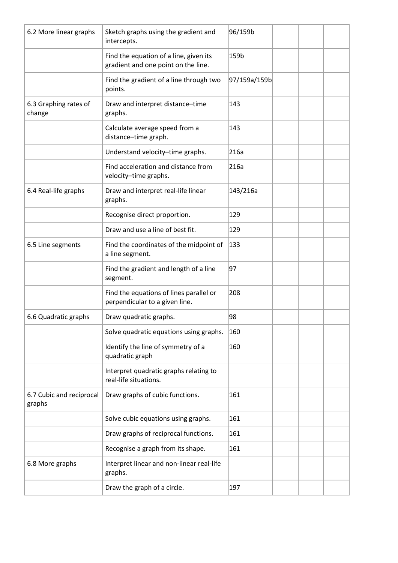| 6.2 More linear graphs             | Sketch graphs using the gradient and<br>intercepts.                           | 96/159b      |  |  |
|------------------------------------|-------------------------------------------------------------------------------|--------------|--|--|
|                                    | Find the equation of a line, given its<br>gradient and one point on the line. | 159b         |  |  |
|                                    | Find the gradient of a line through two<br>points.                            | 97/159a/159b |  |  |
| 6.3 Graphing rates of<br>change    | Draw and interpret distance-time<br>graphs.                                   | 143          |  |  |
|                                    | Calculate average speed from a<br>distance-time graph.                        | 143          |  |  |
|                                    | Understand velocity-time graphs.                                              | 216a         |  |  |
|                                    | Find acceleration and distance from<br>velocity-time graphs.                  | 216a         |  |  |
| 6.4 Real-life graphs               | Draw and interpret real-life linear<br>graphs.                                | 143/216a     |  |  |
|                                    | Recognise direct proportion.                                                  | 129          |  |  |
|                                    | Draw and use a line of best fit.                                              | 129          |  |  |
| 6.5 Line segments                  | Find the coordinates of the midpoint of<br>a line segment.                    | 133          |  |  |
|                                    | Find the gradient and length of a line<br>segment.                            | 97           |  |  |
|                                    | Find the equations of lines parallel or<br>perpendicular to a given line.     | 208          |  |  |
| 6.6 Quadratic graphs               | Draw quadratic graphs.                                                        | 98           |  |  |
|                                    | Solve quadratic equations using graphs.                                       | 160          |  |  |
|                                    | Identify the line of symmetry of a<br>quadratic graph                         | 160          |  |  |
|                                    | Interpret quadratic graphs relating to<br>real-life situations.               |              |  |  |
| 6.7 Cubic and reciprocal<br>graphs | Draw graphs of cubic functions.                                               | 161          |  |  |
|                                    | Solve cubic equations using graphs.                                           | 161          |  |  |
|                                    | Draw graphs of reciprocal functions.                                          | 161          |  |  |
|                                    | Recognise a graph from its shape.                                             | 161          |  |  |
| 6.8 More graphs                    | Interpret linear and non-linear real-life<br>graphs.                          |              |  |  |
|                                    | Draw the graph of a circle.                                                   | 197          |  |  |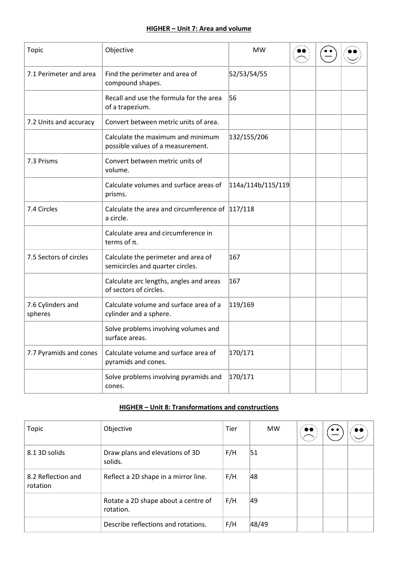# **HIGHER – Unit 7: Area and volume**

| Topic                        | Objective                                                               | <b>MW</b>         |  |  |
|------------------------------|-------------------------------------------------------------------------|-------------------|--|--|
| 7.1 Perimeter and area       | Find the perimeter and area of<br>compound shapes.                      | 52/53/54/55       |  |  |
|                              | Recall and use the formula for the area<br>of a trapezium.              | 56                |  |  |
| 7.2 Units and accuracy       | Convert between metric units of area.                                   |                   |  |  |
|                              | Calculate the maximum and minimum<br>possible values of a measurement.  | 132/155/206       |  |  |
| 7.3 Prisms                   | Convert between metric units of<br>volume.                              |                   |  |  |
|                              | Calculate volumes and surface areas of<br>prisms.                       | 114a/114b/115/119 |  |  |
| 7.4 Circles                  | Calculate the area and circumference of 117/118<br>a circle.            |                   |  |  |
|                              | Calculate area and circumference in<br>terms of $\pi$ .                 |                   |  |  |
| 7.5 Sectors of circles       | Calculate the perimeter and area of<br>semicircles and quarter circles. | 167               |  |  |
|                              | Calculate arc lengths, angles and areas<br>of sectors of circles.       | 167               |  |  |
| 7.6 Cylinders and<br>spheres | Calculate volume and surface area of a<br>cylinder and a sphere.        | 119/169           |  |  |
|                              | Solve problems involving volumes and<br>surface areas.                  |                   |  |  |
| 7.7 Pyramids and cones       | Calculate volume and surface area of<br>pyramids and cones.             | 170/171           |  |  |
|                              | Solve problems involving pyramids and<br>cones.                         | 170/171           |  |  |

# **HIGHER – Unit 8: Transformations and constructions**

| Topic                          | Objective                                        | <b>Tier</b> | <b>MW</b> | $\bullet\bullet$ | $\bullet$ $\bullet$ | . . |
|--------------------------------|--------------------------------------------------|-------------|-----------|------------------|---------------------|-----|
| 8.1 3D solids                  | Draw plans and elevations of 3D<br>solids.       | F/H         | 51        |                  |                     |     |
| 8.2 Reflection and<br>rotation | Reflect a 2D shape in a mirror line.             | F/H         | 48        |                  |                     |     |
|                                | Rotate a 2D shape about a centre of<br>rotation. | F/H         | 49        |                  |                     |     |
|                                | Describe reflections and rotations.              | F/H         | 48/49     |                  |                     |     |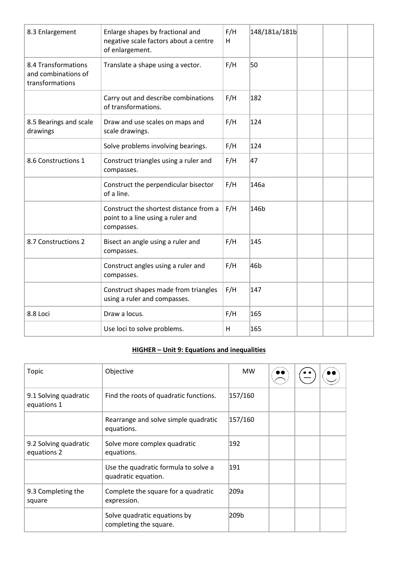| 8.3 Enlargement                                               | Enlarge shapes by fractional and<br>negative scale factors about a centre<br>of enlargement. | F/H<br>H | 148/181a/181b |  |  |
|---------------------------------------------------------------|----------------------------------------------------------------------------------------------|----------|---------------|--|--|
| 8.4 Transformations<br>and combinations of<br>transformations | Translate a shape using a vector.                                                            | F/H      | 50            |  |  |
|                                                               | Carry out and describe combinations<br>of transformations.                                   | F/H      | 182           |  |  |
| 8.5 Bearings and scale<br>drawings                            | Draw and use scales on maps and<br>scale drawings.                                           | F/H      | 124           |  |  |
|                                                               | Solve problems involving bearings.                                                           | F/H      | 124           |  |  |
| 8.6 Constructions 1                                           | Construct triangles using a ruler and<br>compasses.                                          | F/H      | 47            |  |  |
|                                                               | Construct the perpendicular bisector<br>of a line.                                           | F/H      | 146a          |  |  |
|                                                               | Construct the shortest distance from a<br>point to a line using a ruler and<br>compasses.    | F/H      | 146b          |  |  |
| 8.7 Constructions 2                                           | Bisect an angle using a ruler and<br>compasses.                                              | F/H      | 145           |  |  |
|                                                               | Construct angles using a ruler and<br>compasses.                                             | F/H      | 46b           |  |  |
|                                                               | Construct shapes made from triangles<br>using a ruler and compasses.                         | F/H      | 147           |  |  |
| 8.8 Loci                                                      | Draw a locus.                                                                                | F/H      | 165           |  |  |
|                                                               | Use loci to solve problems.                                                                  | H        | 165           |  |  |

# **HIGHER – Unit 9: Equations and inequalities**

| Topic                                | Objective                                                   | <b>MW</b> |  |  |
|--------------------------------------|-------------------------------------------------------------|-----------|--|--|
| 9.1 Solving quadratic<br>equations 1 | Find the roots of quadratic functions.                      | 157/160   |  |  |
|                                      | Rearrange and solve simple quadratic<br>equations.          | 157/160   |  |  |
| 9.2 Solving quadratic<br>equations 2 | Solve more complex quadratic<br>equations.                  | 192       |  |  |
|                                      | Use the quadratic formula to solve a<br>quadratic equation. | 191       |  |  |
| 9.3 Completing the<br>square         | Complete the square for a quadratic<br>expression.          | 209a      |  |  |
|                                      | Solve quadratic equations by<br>completing the square.      | 209b      |  |  |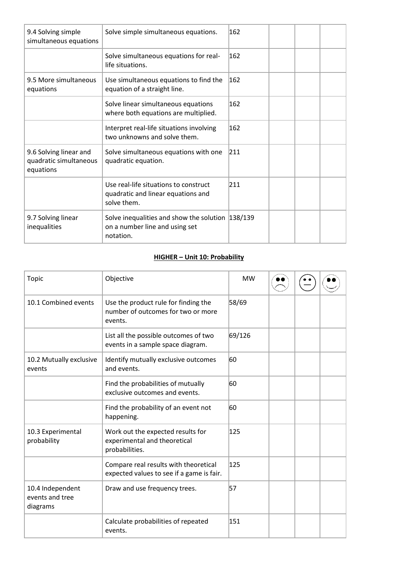| 9.4 Solving simple<br>simultaneous equations                  | Solve simple simultaneous equations.                                                               | 162 |  |  |
|---------------------------------------------------------------|----------------------------------------------------------------------------------------------------|-----|--|--|
|                                                               | Solve simultaneous equations for real-<br>life situations.                                         | 162 |  |  |
| 9.5 More simultaneous<br>equations                            | Use simultaneous equations to find the<br>equation of a straight line.                             | 162 |  |  |
|                                                               | Solve linear simultaneous equations<br>where both equations are multiplied.                        | 162 |  |  |
|                                                               | Interpret real-life situations involving<br>two unknowns and solve them.                           | 162 |  |  |
| 9.6 Solving linear and<br>quadratic simultaneous<br>equations | Solve simultaneous equations with one<br>quadratic equation.                                       | 211 |  |  |
|                                                               | Use real-life situations to construct<br>quadratic and linear equations and<br>solve them.         | 211 |  |  |
| 9.7 Solving linear<br>inequalities                            | Solve inequalities and show the solution $ 138/139$<br>on a number line and using set<br>notation. |     |  |  |

### **HIGHER – Unit 10: Probability**

| <b>Topic</b>                                    | Objective                                                                             | <b>MW</b> |  |  |
|-------------------------------------------------|---------------------------------------------------------------------------------------|-----------|--|--|
| 10.1 Combined events                            | Use the product rule for finding the<br>number of outcomes for two or more<br>events. | 58/69     |  |  |
|                                                 | List all the possible outcomes of two<br>events in a sample space diagram.            | 69/126    |  |  |
| 10.2 Mutually exclusive<br>events               | Identify mutually exclusive outcomes<br>and events.                                   | 60        |  |  |
|                                                 | Find the probabilities of mutually<br>exclusive outcomes and events.                  | 60        |  |  |
|                                                 | Find the probability of an event not<br>happening.                                    | 60        |  |  |
| 10.3 Experimental<br>probability                | Work out the expected results for<br>experimental and theoretical<br>probabilities.   | 125       |  |  |
|                                                 | Compare real results with theoretical<br>expected values to see if a game is fair.    | 125       |  |  |
| 10.4 Independent<br>events and tree<br>diagrams | Draw and use frequency trees.                                                         | 57        |  |  |
|                                                 | Calculate probabilities of repeated<br>events.                                        | 151       |  |  |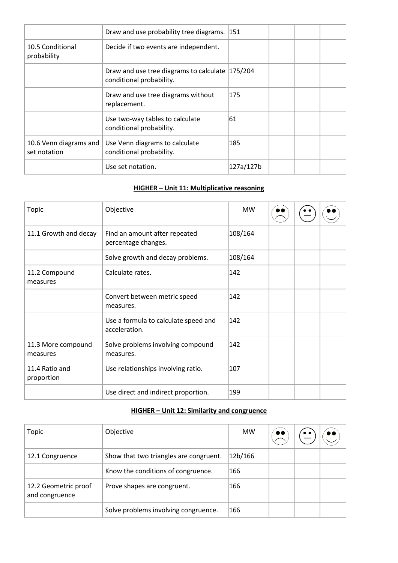|                                        | Draw and use probability tree diagrams. 151                                 |           |  |  |
|----------------------------------------|-----------------------------------------------------------------------------|-----------|--|--|
| 10.5 Conditional<br>probability        | Decide if two events are independent.                                       |           |  |  |
|                                        | Draw and use tree diagrams to calculate 175/204<br>conditional probability. |           |  |  |
|                                        | Draw and use tree diagrams without<br>replacement.                          | 175       |  |  |
|                                        | Use two-way tables to calculate<br>conditional probability.                 | 61        |  |  |
| 10.6 Venn diagrams and<br>set notation | Use Venn diagrams to calculate<br>conditional probability.                  | 185       |  |  |
|                                        | Use set notation.                                                           | 127a/127b |  |  |

#### **HIGHER – Unit 11: Multiplicative reasoning**

| <b>Topic</b>                   | Objective                                             | <b>MW</b>     |  |  |
|--------------------------------|-------------------------------------------------------|---------------|--|--|
| 11.1 Growth and decay          | Find an amount after repeated<br>percentage changes.  | 108/164       |  |  |
|                                | Solve growth and decay problems.                      | 108/164       |  |  |
| 11.2 Compound<br>measures      | Calculate rates.                                      | $ 142\rangle$ |  |  |
|                                | Convert between metric speed<br>measures.             | $ 142\rangle$ |  |  |
|                                | Use a formula to calculate speed and<br>acceleration. | 142           |  |  |
| 11.3 More compound<br>measures | Solve problems involving compound<br>measures.        | $ 142\rangle$ |  |  |
| 11.4 Ratio and<br>proportion   | Use relationships involving ratio.                    | 107           |  |  |
|                                | Use direct and indirect proportion.                   | 199           |  |  |

# **HIGHER – Unit 12: Similarity and congruence**

| Topic                                  | Objective                              | <b>MW</b> | D O |  |
|----------------------------------------|----------------------------------------|-----------|-----|--|
| 12.1 Congruence                        | Show that two triangles are congruent. | 12b/166   |     |  |
|                                        | Know the conditions of congruence.     | 166       |     |  |
| 12.2 Geometric proof<br>and congruence | Prove shapes are congruent.            | 166       |     |  |
|                                        | Solve problems involving congruence.   | 166       |     |  |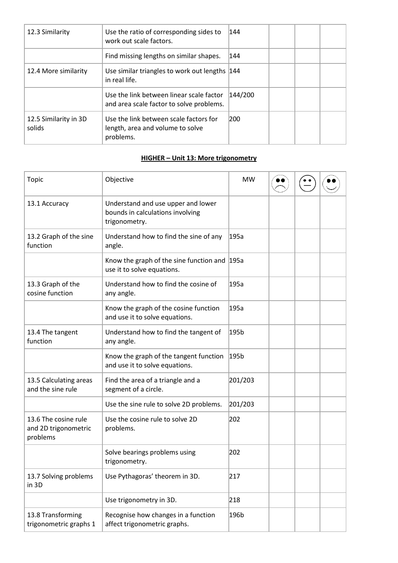| 12.3 Similarity                 | Use the ratio of corresponding sides to<br>work out scale factors.                      | 144     |  |  |
|---------------------------------|-----------------------------------------------------------------------------------------|---------|--|--|
|                                 | Find missing lengths on similar shapes.                                                 | 144     |  |  |
| 12.4 More similarity            | Use similar triangles to work out lengths 144<br>in real life.                          |         |  |  |
|                                 | Use the link between linear scale factor<br>and area scale factor to solve problems.    | 144/200 |  |  |
| 12.5 Similarity in 3D<br>solids | Use the link between scale factors for<br>length, area and volume to solve<br>problems. | 200     |  |  |

# **HIGHER – Unit 13: More trigonometry**

| Topic                                                    | Objective                                                                               | <b>MW</b> |  |  |
|----------------------------------------------------------|-----------------------------------------------------------------------------------------|-----------|--|--|
| 13.1 Accuracy                                            | Understand and use upper and lower<br>bounds in calculations involving<br>trigonometry. |           |  |  |
| 13.2 Graph of the sine<br>function                       | Understand how to find the sine of any<br>angle.                                        | 195a      |  |  |
|                                                          | Know the graph of the sine function and 195a<br>use it to solve equations.              |           |  |  |
| 13.3 Graph of the<br>cosine function                     | Understand how to find the cosine of<br>any angle.                                      | 195a      |  |  |
|                                                          | Know the graph of the cosine function<br>and use it to solve equations.                 | 195a      |  |  |
| 13.4 The tangent<br>function                             | Understand how to find the tangent of<br>any angle.                                     | 195b      |  |  |
|                                                          | Know the graph of the tangent function<br>and use it to solve equations.                | 195b      |  |  |
| 13.5 Calculating areas<br>and the sine rule              | Find the area of a triangle and a<br>segment of a circle.                               | 201/203   |  |  |
|                                                          | Use the sine rule to solve 2D problems.                                                 | 201/203   |  |  |
| 13.6 The cosine rule<br>and 2D trigonometric<br>problems | Use the cosine rule to solve 2D<br>problems.                                            | 202       |  |  |
|                                                          | Solve bearings problems using<br>trigonometry.                                          | 202       |  |  |
| 13.7 Solving problems<br>in 3D                           | Use Pythagoras' theorem in 3D.                                                          | 217       |  |  |
|                                                          | Use trigonometry in 3D.                                                                 | 218       |  |  |
| 13.8 Transforming<br>trigonometric graphs 1              | Recognise how changes in a function<br>affect trigonometric graphs.                     | 196b      |  |  |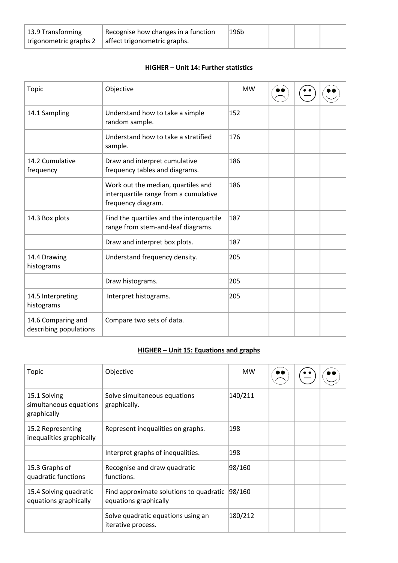| 13.9 Transforming      | Recognise how changes in a function | 196b |  |  |
|------------------------|-------------------------------------|------|--|--|
| trigonometric graphs 2 | affect trigonometric graphs.        |      |  |  |

# **HIGHER – Unit 14: Further statistics**

| <b>Topic</b>                                 | Objective                                                                                         | <b>MW</b> |  |  |
|----------------------------------------------|---------------------------------------------------------------------------------------------------|-----------|--|--|
| 14.1 Sampling                                | Understand how to take a simple<br>random sample.                                                 | 152       |  |  |
|                                              | Understand how to take a stratified<br>sample.                                                    | 176       |  |  |
| 14.2 Cumulative<br>frequency                 | Draw and interpret cumulative<br>frequency tables and diagrams.                                   | 186       |  |  |
|                                              | Work out the median, quartiles and<br>interquartile range from a cumulative<br>frequency diagram. | 186       |  |  |
| 14.3 Box plots                               | Find the quartiles and the interquartile<br>range from stem-and-leaf diagrams.                    | 187       |  |  |
|                                              | Draw and interpret box plots.                                                                     | 187       |  |  |
| 14.4 Drawing<br>histograms                   | Understand frequency density.                                                                     | 205       |  |  |
|                                              | Draw histograms.                                                                                  | 205       |  |  |
| 14.5 Interpreting<br>histograms              | Interpret histograms.                                                                             | 205       |  |  |
| 14.6 Comparing and<br>describing populations | Compare two sets of data.                                                                         |           |  |  |

# **HIGHER – Unit 15: Equations and graphs**

| Topic                                                 | Objective                                                        | <b>MW</b> |  |  |
|-------------------------------------------------------|------------------------------------------------------------------|-----------|--|--|
| 15.1 Solving<br>simultaneous equations<br>graphically | Solve simultaneous equations<br>graphically.                     | 140/211   |  |  |
| 15.2 Representing<br>inequalities graphically         | Represent inequalities on graphs.                                | 198       |  |  |
|                                                       | Interpret graphs of inequalities.                                | 198       |  |  |
| 15.3 Graphs of<br>quadratic functions                 | Recognise and draw quadratic<br>functions.                       | 98/160    |  |  |
| 15.4 Solving quadratic<br>equations graphically       | Find approximate solutions to quadratic<br>equations graphically | 98/160    |  |  |
|                                                       | Solve quadratic equations using an<br>iterative process.         | 180/212   |  |  |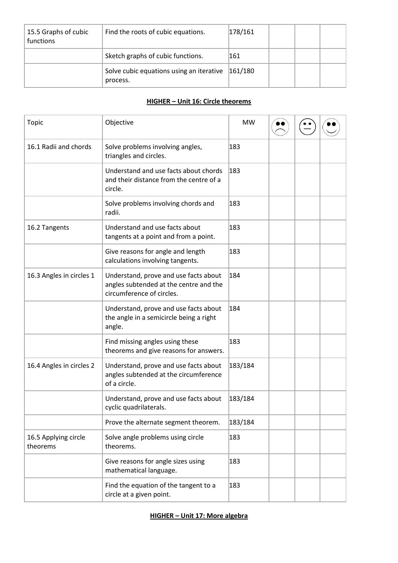| 15.5 Graphs of cubic<br>functions | Find the roots of cubic equations.                            | 178/161 |  |  |
|-----------------------------------|---------------------------------------------------------------|---------|--|--|
|                                   | Sketch graphs of cubic functions.                             | 161     |  |  |
|                                   | Solve cubic equations using an iterative  161/180<br>process. |         |  |  |

### **HIGHER – Unit 16: Circle theorems**

| Topic                            | Objective                                                                                                    | <b>MW</b> |  |  |
|----------------------------------|--------------------------------------------------------------------------------------------------------------|-----------|--|--|
| 16.1 Radii and chords            | Solve problems involving angles,<br>triangles and circles.                                                   | 183       |  |  |
|                                  | Understand and use facts about chords<br>and their distance from the centre of a<br>circle.                  | 183       |  |  |
|                                  | Solve problems involving chords and<br>radii.                                                                | 183       |  |  |
| 16.2 Tangents                    | Understand and use facts about<br>tangents at a point and from a point.                                      | 183       |  |  |
|                                  | Give reasons for angle and length<br>calculations involving tangents.                                        | 183       |  |  |
| 16.3 Angles in circles 1         | Understand, prove and use facts about<br>angles subtended at the centre and the<br>circumference of circles. | 184       |  |  |
|                                  | Understand, prove and use facts about<br>the angle in a semicircle being a right<br>angle.                   | 184       |  |  |
|                                  | Find missing angles using these<br>theorems and give reasons for answers.                                    | 183       |  |  |
| 16.4 Angles in circles 2         | Understand, prove and use facts about<br>angles subtended at the circumference<br>of a circle.               | 183/184   |  |  |
|                                  | Understand, prove and use facts about<br>cyclic quadrilaterals.                                              | 183/184   |  |  |
|                                  | Prove the alternate segment theorem.                                                                         | 183/184   |  |  |
| 16.5 Applying circle<br>theorems | Solve angle problems using circle<br>theorems.                                                               | 183       |  |  |
|                                  | Give reasons for angle sizes using<br>mathematical language.                                                 | 183       |  |  |
|                                  | Find the equation of the tangent to a<br>circle at a given point.                                            | 183       |  |  |

**HIGHER – Unit 17: More algebra**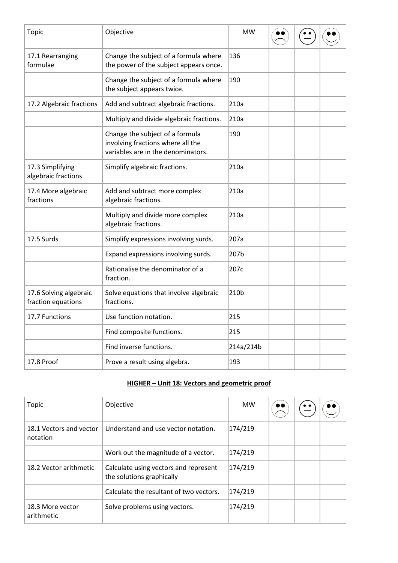| <b>Topic</b>                                 | Objective                                                                                                  | <b>MW</b> |  |  |
|----------------------------------------------|------------------------------------------------------------------------------------------------------------|-----------|--|--|
| 17.1 Rearranging<br>formulae                 | Change the subject of a formula where<br>the power of the subject appears once.                            | 136       |  |  |
|                                              | Change the subject of a formula where<br>the subject appears twice.                                        | 190       |  |  |
| 17.2 Algebraic fractions                     | Add and subtract algebraic fractions.                                                                      | 210a      |  |  |
|                                              | Multiply and divide algebraic fractions.                                                                   | 210a      |  |  |
|                                              | Change the subject of a formula<br>involving fractions where all the<br>variables are in the denominators. | 190       |  |  |
| 17.3 Simplifying<br>algebraic fractions      | Simplify algebraic fractions.                                                                              | 210a      |  |  |
| 17.4 More algebraic<br>fractions             | Add and subtract more complex<br>algebraic fractions.                                                      | 210a      |  |  |
|                                              | Multiply and divide more complex<br>algebraic fractions.                                                   | 210a      |  |  |
| 17.5 Surds                                   | Simplify expressions involving surds.                                                                      | 207a      |  |  |
|                                              | Expand expressions involving surds.                                                                        | 207b      |  |  |
|                                              | Rationalise the denominator of a<br>fraction.                                                              | 207c      |  |  |
| 17.6 Solving algebraic<br>fraction equations | Solve equations that involve algebraic<br>fractions.                                                       | 210b      |  |  |
| 17.7 Functions                               | Use function notation.                                                                                     | 215       |  |  |
|                                              | Find composite functions.                                                                                  | 215       |  |  |
|                                              | Find inverse functions.                                                                                    | 214a/214b |  |  |
| 17.8 Proof                                   | Prove a result using algebra.                                                                              | 193       |  |  |

# **HIGHER – Unit 18: Vectors and geometric proof**

| Topic                               | Objective                                                          | <b>MW</b> | D O |  |
|-------------------------------------|--------------------------------------------------------------------|-----------|-----|--|
| 18.1 Vectors and vector<br>notation | Understand and use vector notation.                                | 174/219   |     |  |
|                                     | Work out the magnitude of a vector.                                | 174/219   |     |  |
| 18.2 Vector arithmetic              | Calculate using vectors and represent<br>the solutions graphically | 174/219   |     |  |
|                                     | Calculate the resultant of two vectors.                            | 174/219   |     |  |
| 18.3 More vector<br>arithmetic      | Solve problems using vectors.                                      | 174/219   |     |  |